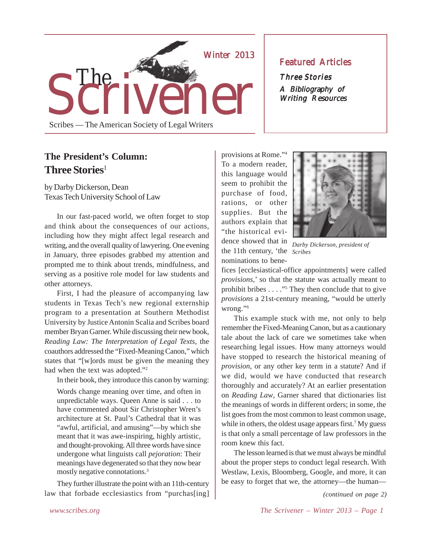

### **Featured Articles**

Three Stories A Bibliography of Writing Resources

### **The President's Column: Three Stories**<sup>1</sup>

by Darby Dickerson, Dean Texas Tech University School of Law

In our fast-paced world, we often forget to stop and think about the consequences of our actions, including how they might affect legal research and writing, and the overall quality of lawyering. One evening in January, three episodes grabbed my attention and prompted me to think about trends, mindfulness, and serving as a positive role model for law students and other attorneys.

First, I had the pleasure of accompanying law students in Texas Tech's new regional externship program to a presentation at Southern Methodist University by Justice Antonin Scalia and Scribes board member Bryan Garner. While discussing their new book, *Reading Law: The Interpretation of Legal Texts*, the coauthors addressed the "Fixed-Meaning Canon," which states that "[w]ords must be given the meaning they had when the text was adopted."2

In their book, they introduce this canon by warning:

Words change meaning over time, and often in unpredictable ways. Queen Anne is said . . . to have commented about Sir Christopher Wren's architecture at St. Paul's Cathedral that it was "awful, artificial, and amusing"—by which she meant that it was awe-inspiring, highly artistic, and thought-provoking. All three words have since undergone what linguists call *pejoration*: Their meanings have degenerated so that they now bear mostly negative connotations.3

They further illustrate the point with an 11th-century law that forbade ecclesiastics from "purchas[ing]

*Scribes* the 11th century, 'the provisions at Rome."4 To a modern reader, this language would seem to prohibit the purchase of food, rations, or other supplies. But the authors explain that "the historical evidence showed that in

nominations to bene-



*Darby Dickerson, president of*

fices [ecclesiastical-office appointments] were called *provisions*,' so that the statute was actually meant to prohibit bribes . . . ."<sup>5</sup> They then conclude that to give *provisions* a 21st-century meaning, "would be utterly wrong."<sup>6</sup>

This example stuck with me, not only to help remember the Fixed-Meaning Canon, but as a cautionary tale about the lack of care we sometimes take when researching legal issues. How many attorneys would have stopped to research the historical meaning of *provision*, or any other key term in a statute? And if we did, would we have conducted that research thoroughly and accurately? At an earlier presentation on *Reading Law*, Garner shared that dictionaries list the meanings of words in different orders; in some, the list goes from the most common to least common usage, while in others, the oldest usage appears first.<sup>7</sup> My guess is that only a small percentage of law professors in the room knew this fact.

The lesson learned is that we must always be mindful about the proper steps to conduct legal research. With Westlaw, Lexis, Bloomberg, Google, and more, it can be easy to forget that we, the attorney—the human—

*(continued on page 2)*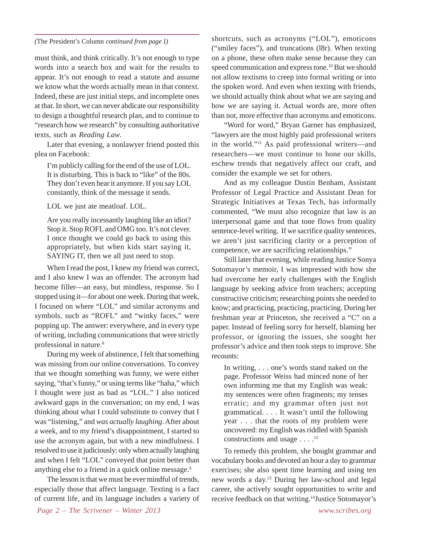*(*The President's Column *continued from page 1)*

must think, and think critically. It's not enough to type words into a search box and wait for the results to appear. It's not enough to read a statute and assume we know what the words actually mean in that context. Indeed, these are just initial steps, and incomplete ones at that. In short, we can never abdicate our responsibility to design a thoughtful research plan, and to continue to "research how we research" by consulting authoritative texts, such as *Reading Law*.

Later that evening, a nonlawyer friend posted this plea on Facebook:

I'm publicly calling for the end of the use of LOL. It is disturbing. This is back to "like" of the 80s. They don't even hear it anymore. If you say LOL constantly, think of the message it sends.

LOL we just ate meatloaf. LOL.

Are you really incessantly laughing like an idiot? Stop it. Stop ROFL and OMG too. It's not clever. I once thought we could go back to using this appropriately, but when kids start saying it, SAYING IT, then we all just need to stop.

When I read the post, I knew my friend was correct, and I also knew I was an offender. The acronym had become filler—an easy, but mindless, response. So I stopped using it—for about one week. During that week, I focused on where "LOL" and similar acronyms and symbols, such as "ROFL" and "winky faces," were popping up. The answer: everywhere, and in every type of writing, including communications that were strictly professional in nature.8

During my week of abstinence, I felt that something was missing from our online conversations. To convey that we thought something was funny, we were either saying, "that's funny," or using terms like "haha," which I thought were just as bad as "LOL." I also noticed awkward gaps in the conversation; on my end, I was thinking about what I could substitute to convey that I was "listening," and *was actually laughing*. After about a week, and to my friend's disappointment, I started to use the acronym again, but with a new mindfulness. I resolved to use it judiciously: only when actually laughing and when I felt "LOL" conveyed that point better than anything else to a friend in a quick online message.<sup>9</sup>

The lesson is that we must be ever mindful of trends, especially those that affect language. Texting is a fact of current life, and its language includes a variety of shortcuts, such as acronyms ("LOL"), emoticons ("smiley faces"), and truncations (l8r). When texting on a phone, these often make sense because they can speed communication and express tone.<sup>10</sup> But we should not allow textisms to creep into formal writing or into the spoken word. And even when texting with friends, we should actually think about what we are saying and how we are saying it. Actual words are, more often than not, more effective than acronyms and emoticons.

"Word for word," Bryan Garner has emphasized, "lawyers are the most highly paid professional writers in the world."11 As paid professional writers—and researchers—we must continue to hone our skills, eschew trends that negatively affect our craft, and consider the example we set for others.

And as my colleague Dustin Benham, Assistant Professor of Legal Practice and Assistant Dean for Strategic Initiatives at Texas Tech, has informally commented, "We must also recognize that law is an interpersonal game and that tone flows from quality sentence-level writing. If we sacrifice quality sentences, we aren't just sacrificing clarity or a perception of competence, we are sacrificing relationships."

Still later that evening, while reading Justice Sonya Sotomayor's memoir, I was impressed with how she had overcome her early challenges with the English language by seeking advice from teachers; accepting constructive criticism; researching points she needed to know; and practicing, practicing, practicing. During her freshman year at Princeton, she received a "C" on a paper. Instead of feeling sorry for herself, blaming her professor, or ignoring the issues, she sought her professor's advice and then took steps to improve. She recounts:

In writing, . . . one's words stand naked on the page. Professor Weiss had minced none of her own informing me that my English was weak: my sentences were often fragments; my tenses erratic; and my grammar often just not grammatical. . . . It wasn't until the following year . . . that the roots of my problem were uncovered: my English was riddled with Spanish constructions and usage  $\dots$ .<sup>12</sup>

To remedy this problem, she bought grammar and vocabulary books and devoted an hour a day to grammar exercises; she also spent time learning and using ten new words a day.13 During her law-school and legal career, she actively sought opportunities to write and receive feedback on that writing.<sup>14</sup>Justice Sotomayor's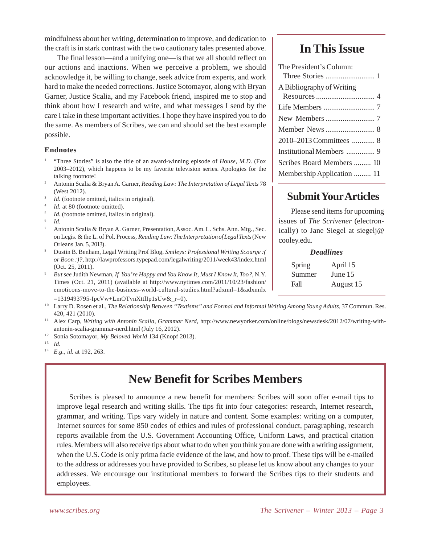mindfulness about her writing, determination to improve, and dedication to the craft is in stark contrast with the two cautionary tales presented above.

The final lesson—and a unifying one—is that we all should reflect on our actions and inactions. When we perceive a problem, we should acknowledge it, be willing to change, seek advice from experts, and work hard to make the needed corrections. Justice Sotomayor, along with Bryan Garner, Justice Scalia, and my Facebook friend, inspired me to stop and think about how I research and write, and what messages I send by the care I take in these important activities. I hope they have inspired you to do the same. As members of Scribes, we can and should set the best example possible.

#### **Endnotes**

- <sup>1</sup> "Three Stories" is also the title of an award-winning episode of *House, M.D.* (Fox 2003–2012), which happens to be my favorite television series. Apologies for the talking footnote!
- <sup>2</sup> Antonin Scalia & Bryan A. Garner, *Reading Law: The Interpretation of Legal Texts* 78 (West 2012).
- <sup>3</sup> *Id.* (footnote omitted, italics in original).
- Id. at 80 (footnote omitted).
- <sup>5</sup> *Id.* (footnote omitted, italics in original).
- <sup>6</sup> *Id.*
- Antonin Scalia & Bryan A. Garner, Presentation, Assoc. Am. L. Schs. Ann. Mtg., Sec. on Legis. & the L. of Pol. Process, *Reading Law: The Interpretation of Legal Texts* (New Orleans Jan. 5, 2013).
- <sup>8</sup> Dustin B. Benham, Legal Writing Prof Blog, *Smileys: Professional Writing Scourge :( or Boon :)?*, http://lawprofessors.typepad.com/legalwriting/2011/week43/index.html (Oct. 25, 2011).
- <sup>9</sup> *But see* Judith Newman, *If You're Happy and You Know It, Must I Know It, Too?*, N.Y. Times (Oct. 21, 2011) (available at http://www.nytimes.com/2011/10/23/fashion/ emoticons-move-to-the-business-world-cultural-studies.html?adxnnl=1&adxnnlx
- $=1319493795$ -IpcVw+LmOTvnXttlIp1sUw&\_r=0).
- <sup>10</sup> Larry D. Rosen et al., *The Relationship Between "Textisms" and Formal and Informal Writing Among Young Adults*, 37 Commun. Res. 420, 421 (2010).
- <sup>11</sup> Alex Carp, *Writing with Antonin Scalia, Grammar Nerd*, http://www.newyorker.com/online/blogs/newsdesk/2012/07/writing-withantonin-scalia-grammar-nerd.html (July 16, 2012).
- <sup>12</sup> Sonia Sotomayor, *My Beloved World* 134 (Knopf 2013).
- 1 3 *Id.*
- <sup>14</sup> *E.g., id.* at 192, 263.

# **New Benefit for Scribes Members**

Scribes is pleased to announce a new benefit for members: Scribes will soon offer e-mail tips to improve legal research and writing skills. The tips fit into four categories: research, Internet research, grammar, and writing. Tips vary widely in nature and content. Some examples: writing on a computer, Internet sources for some 850 codes of ethics and rules of professional conduct, paragraphing, research reports available from the U.S. Government Accounting Office, Uniform Laws, and practical citation rules. Members will also receive tips about what to do when you think you are done with a writing assignment, when the U.S. Code is only prima facie evidence of the law, and how to proof. These tips will be e-mailed to the address or addresses you have provided to Scribes, so please let us know about any changes to your addresses. We encourage our institutional members to forward the Scribes tips to their students and employees.

## **In This Issue**

| The President's Column:    |
|----------------------------|
| A Bibliography of Writing  |
|                            |
|                            |
|                            |
| 2010-2013 Committees  8    |
| Institutional Members  9   |
| Scribes Board Members  10  |
| Membership Application  11 |

### **Submit Your Articles**

Please send items for upcoming issues of *The Scrivener* (electronically) to Jane Siegel at siegelj@ cooley.edu.

#### *Deadlines*

| Spring | April 15  |
|--------|-----------|
| Summer | June 15   |
| Fall   | August 15 |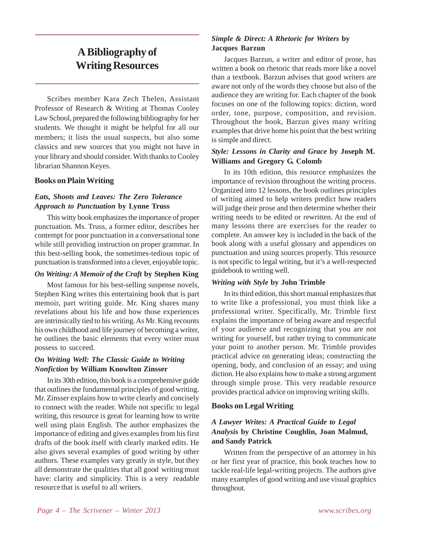# **A Bibliography of Writing Resources**

Scribes member Kara Zech Thelen, Assistant Professor of Research & Writing at Thomas Cooley Law School, prepared the following bibliography for her students. We thought it might be helpful for all our members; it lists the usual suspects, but also some classics and new sources that you might not have in your library and should consider. With thanks to Cooley librarian Shannon Keyes.

#### **Books on Plain Writing**

#### *Eats, Shoots and Leaves: The Zero Tolerance Approach to Punctuation* **by Lynne Truss**

This witty book emphasizes the importance of proper punctuation. Ms. Truss, a former editor, describes her contempt for poor punctuation in a conversational tone while still providing instruction on proper grammar. In this best-selling book, the sometimes-tedious topic of punctuation is transformed into a clever, enjoyable topic.

#### *On Writing: A Memoir of the Craft* **by Stephen King**

Most famous for his best-selling suspense novels, Stephen King writes this entertaining book that is part memoir, part writing guide. Mr. King shares many revelations about his life and how those experiences are intrinsically tied to his writing. As Mr. King recounts his own childhood and life journey of becoming a writer, he outlines the basic elements that every writer must possess to succeed.

#### *On Writing Well: The Classic Guide to Writing Nonfiction* **by William Knowlton Zinsser**

In its 30th edition, this book is a comprehensive guide that outlines the fundamental principles of good writing. Mr. Zinsser explains how to write clearly and concisely to connect with the reader. While not specific to legal writing, this resource is great for learning how to write well using plain English. The author emphasizes the importance of editing and gives examples from his first drafts of the book itself with clearly marked edits. He also gives several examples of good writing by other authors. These examples vary greatly in style, but they all demonstrate the qualities that all good writing must have: clarity and simplicity. This is a very readable resource that is useful to all writers.

### *Simple & Direct: A Rhetoric for Writers* **by Jacques Barzun**

Jacques Barzun, a writer and editor of prose, has written a book on rhetoric that reads more like a novel than a textbook. Barzun advises that good writers are aware not only of the words they choose but also of the audience they are writing for. Each chapter of the book focuses on one of the following topics: diction, word order, tone, purpose, composition, and revision. Throughout the book, Barzun gives many writing examples that drive home his point that the best writing is simple and direct.

#### *Style: Lessons in Clarity and Grace* **by Joseph M. Williams and Gregory G. Colomb**

In its 10th edition, this resource emphasizes the importance of revision throughout the writing process. Organized into 12 lessons, the book outlines principles of writing aimed to help writers predict how readers will judge their prose and then determine whether their writing needs to be edited or rewritten. At the end of many lessons there are exercises for the reader to complete. An answer key is included in the back of the book along with a useful glossary and appendices on punctuation and using sources properly. This resource is not specific to legal writing, but it's a well-respected guidebook to writing well.

### *Writing with Style* **by John Trimble**

In its third edition, this short manual emphasizes that to write like a professional, you must think like a professional writer. Specifically, Mr. Trimble first explains the importance of being aware and respectful of your audience and recognizing that you are not writing for yourself, but rather trying to communicate your point to another person. Mr. Trimble provides practical advice on generating ideas; constructing the opening, body, and conclusion of an essay; and using diction. He also explains how to make a strong argument through simple prose. This very readable resource provides practical advice on improving writing skills.

### **Books on Legal Writing**

### *A Lawyer Writes: A Practical Guide to Legal Analysis* **by Christine Coughlin, Joan Malmud, and Sandy Patrick**

Written from the perspective of an attorney in his or her first year of practice, this book teaches how to tackle real-life legal-writing projects. The authors give many examples of good writing and use visual graphics throughout.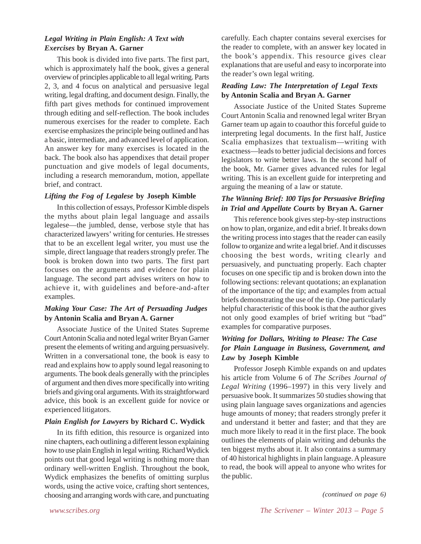#### *Legal Writing in Plain English: A Text with Exercises* **by Bryan A. Garner**

This book is divided into five parts. The first part, which is approximately half the book, gives a general overview of principles applicable to all legal writing. Parts 2, 3, and 4 focus on analytical and persuasive legal writing, legal drafting, and document design. Finally, the fifth part gives methods for continued improvement through editing and self-reflection. The book includes numerous exercises for the reader to complete. Each exercise emphasizes the principle being outlined and has a basic, intermediate, and advanced level of application. An answer key for many exercises is located in the back. The book also has appendixes that detail proper punctuation and give models of legal documents, including a research memorandum, motion, appellate brief, and contract.

#### *Lifting the Fog of Legalese* **by Joseph Kimble**

In this collection of essays, Professor Kimble dispels the myths about plain legal language and assails legalese—the jumbled, dense, verbose style that has characterized lawyers' writing for centuries. He stresses that to be an excellent legal writer, you must use the simple, direct language that readers strongly prefer. The book is broken down into two parts. The first part focuses on the arguments and evidence for plain language. The second part advises writers on how to achieve it, with guidelines and before-and-after examples.

#### *Making Your Case: The Art of Persuading Judges* **by Antonin Scalia and Bryan A. Garner**

Associate Justice of the United States Supreme Court Antonin Scalia and noted legal writer Bryan Garner present the elements of writing and arguing persuasively. Written in a conversational tone, the book is easy to read and explains how to apply sound legal reasoning to arguments. The book deals generally with the principles of argument and then dives more specifically into writing briefs and giving oral arguments. With its straightforward advice, this book is an excellent guide for novice or experienced litigators.

#### *Plain English for Lawyers* **by Richard C. Wydick**

In its fifth edition, this resource is organized into nine chapters, each outlining a different lesson explaining how to use plain English in legal writing. Richard Wydick points out that good legal writing is nothing more than ordinary well-written English. Throughout the book, Wydick emphasizes the benefits of omitting surplus words, using the active voice, crafting short sentences, choosing and arranging words with care, and punctuating

carefully. Each chapter contains several exercises for the reader to complete, with an answer key located in the book's appendix. This resource gives clear explanations that are useful and easy to incorporate into the reader's own legal writing.

#### *Reading Law: The Interpretation of Legal Texts* **by Antonin Scalia and Bryan A. Garner**

Associate Justice of the United States Supreme Court Antonin Scalia and renowned legal writer Bryan Garner team up again to coauthor this forceful guide to interpreting legal documents. In the first half, Justice Scalia emphasizes that textualism—writing with exactness—leads to better judicial decisions and forces legislators to write better laws. In the second half of the book, Mr. Garner gives advanced rules for legal writing. This is an excellent guide for interpreting and arguing the meaning of a law or statute.

### *The Winning Brief: 100 Tips for Persuasive Briefing in Trial and Appellate Courts* **by Bryan A. Garner**

This reference book gives step-by-step instructions on how to plan, organize, and edit a brief. It breaks down the writing process into stages that the reader can easily follow to organize and write a legal brief. And it discusses choosing the best words, writing clearly and persuasively, and punctuating properly. Each chapter focuses on one specific tip and is broken down into the following sections: relevant quotations; an explanation of the importance of the tip; and examples from actual briefs demonstrating the use of the tip. One particularly helpful characteristic of this book is that the author gives not only good examples of brief writing but "bad" examples for comparative purposes.

### *Writing for Dollars, Writing to Please: The Case for Plain Language in Business, Government, and Law* **by Joseph Kimble**

Professor Joseph Kimble expands on and updates his article from Volume 6 of *The Scribes Journal of Legal Writing* (1996–1997) in this very lively and persuasive book. It summarizes 50 studies showing that using plain language saves organizations and agencies huge amounts of money; that readers strongly prefer it and understand it better and faster; and that they are much more likely to read it in the first place. The book outlines the elements of plain writing and debunks the ten biggest myths about it. It also contains a summary of 40 historical highlights in plain language. A pleasure to read, the book will appeal to anyone who writes for the public.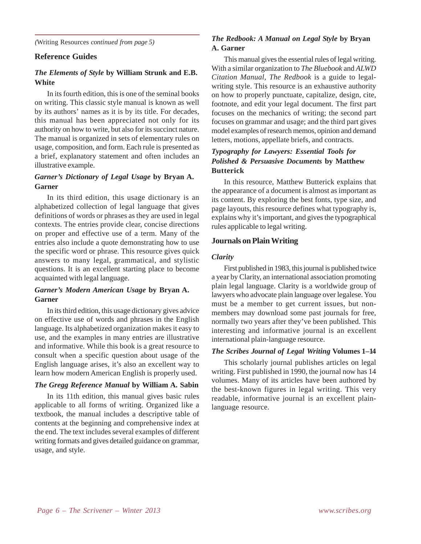*(*Writing Resources *continued from page 5)*

#### **Reference Guides**

#### *The Elements of Style* **by William Strunk and E.B. White**

In its fourth edition, this is one of the seminal books on writing. This classic style manual is known as well by its authors' names as it is by its title. For decades, this manual has been appreciated not only for its authority on how to write, but also for its succinct nature. The manual is organized in sets of elementary rules on usage, composition, and form. Each rule is presented as a brief, explanatory statement and often includes an illustrative example.

#### *Garner's Dictionary of Legal Usage* **by Bryan A. Garner**

In its third edition, this usage dictionary is an alphabetized collection of legal language that gives definitions of words or phrases as they are used in legal contexts. The entries provide clear, concise directions on proper and effective use of a term. Many of the entries also include a quote demonstrating how to use the specific word or phrase. This resource gives quick answers to many legal, grammatical, and stylistic questions. It is an excellent starting place to become acquainted with legal language.

#### *Garner's Modern American Usage* **by Bryan A. Garner**

In its third edition, this usage dictionary gives advice on effective use of words and phrases in the English language. Its alphabetized organization makes it easy to use, and the examples in many entries are illustrative and informative. While this book is a great resource to consult when a specific question about usage of the English language arises, it's also an excellent way to learn how modern American English is properly used.

#### *The Gregg Reference Manual* **by William A. Sabin**

In its 11th edition, this manual gives basic rules applicable to all forms of writing. Organized like a textbook, the manual includes a descriptive table of contents at the beginning and comprehensive index at the end. The text includes several examples of different writing formats and gives detailed guidance on grammar, usage, and style.

#### *The Redbook: A Manual on Legal Style* **by Bryan A. Garner**

This manual gives the essential rules of legal writing. With a similar organization to *The Bluebook* and *ALWD Citation Manual*, *The Redbook* is a guide to legalwriting style. This resource is an exhaustive authority on how to properly punctuate, capitalize, design, cite, footnote, and edit your legal document. The first part focuses on the mechanics of writing; the second part focuses on grammar and usage; and the third part gives model examples of research memos, opinion and demand letters, motions, appellate briefs, and contracts.

### *Typography for Lawyers: Essential Tools for Polished & Persuasive Documents* **by Matthew Butterick**

In this resource, Matthew Butterick explains that the appearance of a document is almost as important as its content. By exploring the best fonts, type size, and page layouts, this resource defines what typography is, explains why it's important, and gives the typographical rules applicable to legal writing.

#### **Journals on Plain Writing**

#### *Clarity*

First published in 1983, this journal is published twice a year by Clarity, an international association promoting plain legal language. Clarity is a worldwide group of lawyers who advocate plain language over legalese. You must be a member to get current issues, but nonmembers may download some past journals for free, normally two years after they've been published. This interesting and informative journal is an excellent international plain-language resource.

#### *The Scribes Journal of Legal Writing* **Volumes 1–14**

This scholarly journal publishes articles on legal writing. First published in 1990, the journal now has 14 volumes. Many of its articles have been authored by the best-known figures in legal writing. This very readable, informative journal is an excellent plainlanguage resource.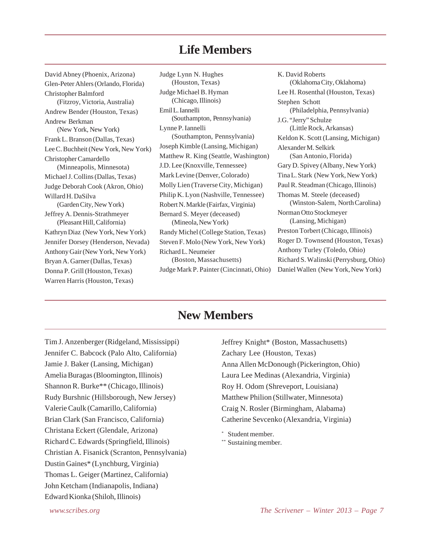### **Life Members**

David Abney (Phoenix, Arizona) Glen-Peter Ahlers (Orlando, Florida) Christopher Balmford (Fitzroy, Victoria, Australia) Andrew Bender (Houston, Texas) Andrew Berkman (New York, New York) Frank L. Branson (Dallas, Texas) Lee C. Buchheit (New York, New York) Christopher Camardello (Minneapolis, Minnesota) Michael J. Collins (Dallas, Texas) Judge Deborah Cook (Akron, Ohio) Willard H. DaSilva (Garden City, New York) Jeffrey A. Dennis-Strathmeyer (Pleasant Hill, California) Kathryn Diaz (New York, New York) Jennifer Dorsey (Henderson, Nevada) Anthony Gair (New York, New York) Bryan A. Garner (Dallas, Texas) Donna P. Grill (Houston, Texas) Warren Harris (Houston, Texas)

Judge Lynn N. Hughes (Houston, Texas) Judge Michael B. Hyman (Chicago, Illinois) Emil L. Iannelli (Southampton, Pennsylvania) Lynne P. Iannelli (Southampton, Pennsylvania) Joseph Kimble (Lansing, Michigan) Matthew R. King (Seattle, Washington) J.D. Lee (Knoxville, Tennessee) Mark Levine (Denver, Colorado) Molly Lien (Traverse City, Michigan) Philip K. Lyon (Nashville, Tennessee) Robert N. Markle (Fairfax, Virginia) Bernard S. Meyer (deceased) (Mineola, New York) Randy Michel (College Station, Texas) Steven F. Molo (New York, New York) Richard L. Neumeier (Boston, Massachusetts) Judge Mark P. Painter (Cincinnati, Ohio)

K. David Roberts (Oklahoma City, Oklahoma) Lee H. Rosenthal (Houston, Texas) Stephen Schott (Philadelphia, Pennsylvania) J.G. "Jerry" Schulze (Little Rock, Arkansas) Keldon K. Scott (Lansing, Michigan) Alexander M. Selkirk (San Antonio, Florida) Gary D. Spivey (Albany, New York) Tina L. Stark (New York, New York) Paul R. Steadman (Chicago, Illinois) Thomas M. Steele (deceased) (Winston-Salem, North Carolina) Norman Otto Stockmeyer (Lansing, Michigan) Preston Torbert (Chicago, Illinois) Roger D. Townsend (Houston, Texas) Anthony Turley (Toledo, Ohio) Richard S. Walinski (Perrysburg, Ohio) Daniel Wallen (New York, New York)

# **New Members**

Tim J. Anzenberger (Ridgeland, Mississippi) Jennifer C. Babcock (Palo Alto, California) Jamie J. Baker (Lansing, Michigan) Amelia Buragas (Bloomington, Illinois) Shannon R. Burke\*\* (Chicago, Illinois) Rudy Burshnic (Hillsborough, New Jersey) Valerie Caulk (Camarillo, California) Brian Clark (San Francisco, California) Christana Eckert (Glendale, Arizona) Richard C. Edwards (Springfield, Illinois) Christian A. Fisanick (Scranton, Pennsylvania) Dustin Gaines\* (Lynchburg, Virginia) Thomas L. Geiger (Martinez, California) John Ketcham (Indianapolis, Indiana) Edward Kionka (Shiloh, Illinois)

Jeffrey Knight\* (Boston, Massachusetts) Zachary Lee (Houston, Texas) Anna Allen McDonough (Pickerington, Ohio) Laura Lee Medinas (Alexandria, Virginia) Roy H. Odom (Shreveport, Louisiana) Matthew Philion (Stillwater, Minnesota) Craig N. Rosler (Birmingham, Alabama) Catherine Sevcenko (Alexandria, Virginia)

\* Student member.

\*\* Sustaining member.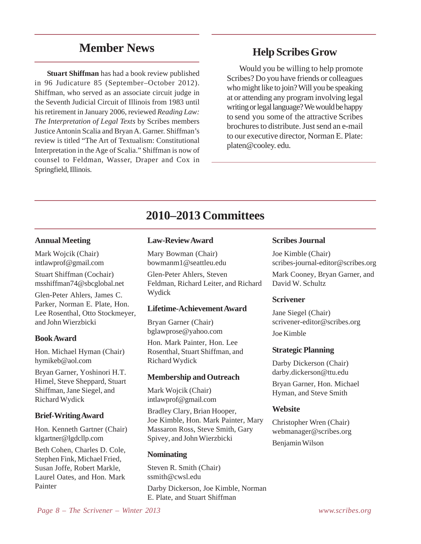# **Member News**

**Stuart Shiffman** has had a book review published in 96 Judicature 85 (September–October 2012). Shiffman, who served as an associate circuit judge in the Seventh Judicial Circuit of Illinois from 1983 until his retirement in January 2006, reviewed *Reading Law: The Interpretation of Legal Texts* by Scribes members Justice Antonin Scalia and Bryan A. Garner. Shiffman's review is titled "The Art of Textualism: Constitutional Interpretation in the Age of Scalia." Shiffman is now of counsel to Feldman, Wasser, Draper and Cox in Springfield, Illinois.

### **Help Scribes Grow**

Would you be willing to help promote Scribes? Do you have friends or colleagues who might like to join? Will you be speaking at or attending any program involving legal writing or legal language? We would be happy to send you some of the attractive Scribes brochures to distribute. Just send an e-mail to our executive director, Norman E. Plate: platen@cooley. edu.

# **2010–2013 Committees**

#### **Annual Meeting**

Mark Wojcik (Chair) intlawprof@gmail.com

Stuart Shiffman (Cochair) msshiffman74@sbcglobal.net

Glen-Peter Ahlers, James C. Parker, Norman E. Plate, Hon. Lee Rosenthal, Otto Stockmeyer, and John Wierzbicki

#### **Book Award**

Hon. Michael Hyman (Chair) hymikeb@aol.com

Bryan Garner, Yoshinori H.T. Himel, Steve Sheppard, Stuart Shiffman, Jane Siegel, and Richard Wydick

#### **Brief-Writing Award**

Hon. Kenneth Gartner (Chair) klgartner@lgdcllp.com

Beth Cohen, Charles D. Cole, Stephen Fink, Michael Fried, Susan Joffe, Robert Markle, Laurel Oates, and Hon. Mark Painter

#### **Law-Review Award**

Mary Bowman (Chair) bowmanm1@seattleu.edu

Glen-Peter Ahlers, Steven Feldman, Richard Leiter, and Richard Wydick

#### **Lifetime-Achievement Award**

Bryan Garner (Chair) bglawprose@yahoo.com

Hon. Mark Painter, Hon. Lee Rosenthal, Stuart Shiffman, and Richard Wydick

#### **Membership and Outreach**

Mark Wojcik (Chair) intlawprof@gmail.com

Bradley Clary, Brian Hooper, Joe Kimble, Hon. Mark Painter, Mary Massaron Ross, Steve Smith, Gary Spivey, and John Wierzbicki

#### **Nominating**

Steven R. Smith (Chair) ssmith@cwsl.edu Darby Dickerson, Joe Kimble, Norman E. Plate, and Stuart Shiffman

#### **Scribes Journal**

Joe Kimble (Chair) scribes-journal-editor@scribes.org

Mark Cooney, Bryan Garner, and David W. Schultz

#### **Scrivener**

Jane Siegel (Chair) scrivener-editor@scribes.org Joe Kimble

#### **Strategic Planning**

Darby Dickerson (Chair) darby.dickerson@ttu.edu

Bryan Garner, Hon. Michael Hyman, and Steve Smith

#### **Website**

Christopher Wren (Chair) webmanager@scribes.org Benjamin Wilson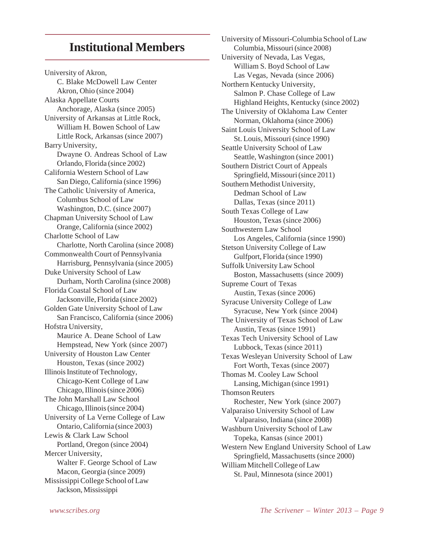# **Institutional Members**

University of Akron, C. Blake McDowell Law Center Akron, Ohio (since 2004) Alaska Appellate Courts Anchorage, Alaska (since 2005) University of Arkansas at Little Rock, William H. Bowen School of Law Little Rock, Arkansas (since 2007) Barry University, Dwayne O. Andreas School of Law Orlando, Florida (since 2002) California Western School of Law San Diego, California (since 1996) The Catholic University of America, Columbus School of Law Washington, D.C. (since 2007) Chapman University School of Law Orange, California (since 2002) Charlotte School of Law Charlotte, North Carolina (since 2008) Commonwealth Court of Pennsylvania Harrisburg, Pennsylvania (since 2005) Duke University School of Law Durham, North Carolina (since 2008) Florida Coastal School of Law Jacksonville, Florida (since 2002) Golden Gate University School of Law San Francisco, California (since 2006) Hofstra University, Maurice A. Deane School of Law Hempstead, New York (since 2007) University of Houston Law Center Houston, Texas (since 2002) Illinois Institute of Technology, Chicago-Kent College of Law Chicago, Illinois (since 2006) The John Marshall Law School Chicago, Illinois (since 2004) University of La Verne College of Law Ontario, California (since 2003) Lewis & Clark Law School Portland, Oregon (since 2004) Mercer University, Walter F. George School of Law Macon, Georgia (since 2009) Mississippi College School of Law Jackson, Mississippi

University of Missouri-Columbia School of Law Columbia, Missouri (since 2008) University of Nevada, Las Vegas, William S. Boyd School of Law Las Vegas, Nevada (since 2006) Northern Kentucky University, Salmon P. Chase College of Law Highland Heights, Kentucky (since 2002) The University of Oklahoma Law Center Norman, Oklahoma (since 2006) Saint Louis University School of Law St. Louis, Missouri (since 1990) Seattle University School of Law Seattle, Washington (since 2001) Southern District Court of Appeals Springfield, Missouri (since 2011) Southern Methodist University, Dedman School of Law Dallas, Texas (since 2011) South Texas College of Law Houston, Texas (since 2006) Southwestern Law School Los Angeles, California (since 1990) Stetson University College of Law Gulfport, Florida (since 1990) Suffolk University Law School Boston, Massachusetts (since 2009) Supreme Court of Texas Austin, Texas (since 2006) Syracuse University College of Law Syracuse, New York (since 2004) The University of Texas School of Law Austin, Texas (since 1991) Texas Tech University School of Law Lubbock, Texas (since 2011) Texas Wesleyan University School of Law Fort Worth, Texas (since 2007) Thomas M. Cooley Law School Lansing, Michigan (since 1991) Thomson Reuters Rochester, New York (since 2007) Valparaiso University School of Law Valparaiso, Indiana (since 2008) Washburn University School of Law Topeka, Kansas (since 2001) Western New England University School of Law Springfield, Massachusetts (since 2000) William Mitchell College of Law St. Paul, Minnesota (since 2001)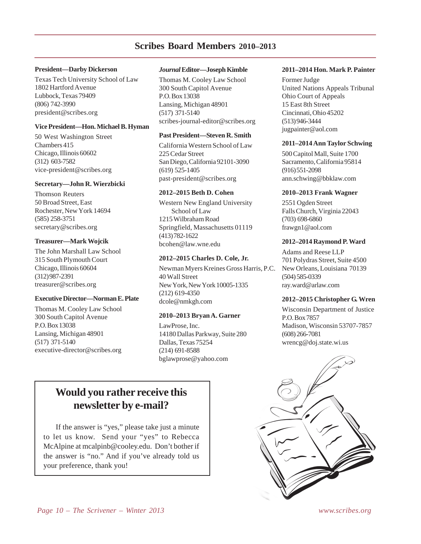### **Scribes Board Members 2010–2013**

#### **President—Darby Dickerson**

Texas Tech University School of Law 1802 Hartford Avenue Lubbock, Texas 79409 (806) 742-3990 president@scribes.org

#### **Vice President—Hon. Michael B. Hyman**

50 West Washington Street Chambers 415 Chicago, Illinois 60602 (312) 603-7582 vice-president@scribes.org

#### **Secretary—John R. Wierzbicki**

Thomson Reuters 50 Broad Street, East Rochester, New York 14694 (585) 258-3751 secretary@scribes.org

#### **Treasurer—Mark Wojcik**

The John Marshall Law School 315 South Plymouth Court Chicago, Illinois 60604 (312) 987-2391 treasurer@scribes.org

#### **Executive Director—Norman E. Plate**

Thomas M. Cooley Law School 300 South Capitol Avenue P.O. Box 13038 Lansing, Michigan 48901 (517) 371-5140 executive-director@scribes.org

#### *Journal* **Editor—Joseph Kimble**

Thomas M. Cooley Law School 300 South Capitol Avenue P.O. Box 13038 Lansing, Michigan 48901 (517) 371-5140 scribes-journal-editor@scribes.org

#### **Past President—Steven R. Smith**

California Western School of Law 225 Cedar Street San Diego, California 92101-3090 (619) 525-1405 past-president@scribes.org

#### **2012–2015 Beth D. Cohen**

Western New England University School of Law 1215 Wilbraham Road Springfield, Massachusetts 01119 (413) 782-1622 bcohen@law.wne.edu

#### **2012–2015 Charles D. Cole, Jr.**

Newman Myers Kreines Gross Harris, P.C. 40 Wall Street New York, New York 10005-1335 (212) 619-4350 dcole@nmkgh.com

#### **2010–2013 Bryan A. Garner**

LawProse, Inc. 14180 Dallas Parkway, Suite 280 Dallas, Texas 75254 (214) 691-8588 bglawprose@yahoo.com

#### **2011–2014 Hon. Mark P. Painter**

Former Judge United Nations Appeals Tribunal Ohio Court of Appeals 15 East 8th Street Cincinnati, Ohio 45202 (513) 946-3444 jugpainter@aol.com

#### **2011–2014 Ann Taylor Schwing**

500 Capitol Mall, Suite 1700 Sacramento, California 95814 (916) 551-2098 ann.schwing@bbklaw.com

#### **2010–2013 Frank Wagner**

2551 Ogden Street Falls Church, Virginia 22043 (703) 698-6860 frawgn1@aol.com

#### **2012–2014 Raymond P. Ward**

Adams and Reese LLP 701 Polydras Street, Suite 4500 New Orleans, Louisiana 70139 (504) 585-0339 ray.ward@arlaw.com

#### **2012–2015 Christopher G. Wren**

Wisconsin Department of Justice P.O. Box 7857 Madison, Wisconsin 53707-7857 (608) 266-7081 wrencg@doj.state.wi.us



# **Would you rather receive this newsletter by e-mail?**

If the answer is "yes," please take just a minute to let us know. Send your "yes" to Rebecca McAlpine at mcalpinb@cooley.edu. Don't bother if the answer is "no." And if you've already told us your preference, thank you!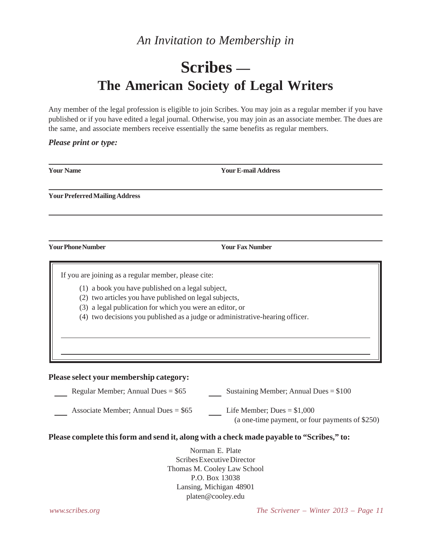# *An Invitation to Membership in*

# **Scribes — The American Society of Legal Writers**

Any member of the legal profession is eligible to join Scribes. You may join as a regular member if you have published or if you have edited a legal journal. Otherwise, you may join as an associate member. The dues are the same, and associate members receive essentially the same benefits as regular members.

#### *Please print or type:*

| <b>Your Name</b>                                                                                                                                                    | <b>Your E-mail Address</b>                                                                                                                |
|---------------------------------------------------------------------------------------------------------------------------------------------------------------------|-------------------------------------------------------------------------------------------------------------------------------------------|
| <b>Your Preferred Mailing Address</b>                                                                                                                               |                                                                                                                                           |
|                                                                                                                                                                     |                                                                                                                                           |
| <b>Your Phone Number</b>                                                                                                                                            | <b>Your Fax Number</b>                                                                                                                    |
| If you are joining as a regular member, please cite:<br>(1) a book you have published on a legal subject,<br>(2) two articles you have published on legal subjects, | (3) a legal publication for which you were an editor, or<br>(4) two decisions you published as a judge or administrative-hearing officer. |
| Please select your membership category:                                                                                                                             |                                                                                                                                           |
| Regular Member; Annual Dues = $$65$                                                                                                                                 | Sustaining Member; Annual Dues = $$100$                                                                                                   |
| Associate Member; Annual Dues = $$65$                                                                                                                               | Life Member; Dues = $$1,000$<br>(a one-time payment, or four payments of \$250)                                                           |
|                                                                                                                                                                     | Please complete this form and send it, along with a check made payable to "Scribes," to:                                                  |
|                                                                                                                                                                     | Norman E. Plate<br>Scribes Executive Director<br>Thomas M. Cooley Law School<br>P.O. Box 13038                                            |

Lansing, Michigan 48901 platen@cooley.edu